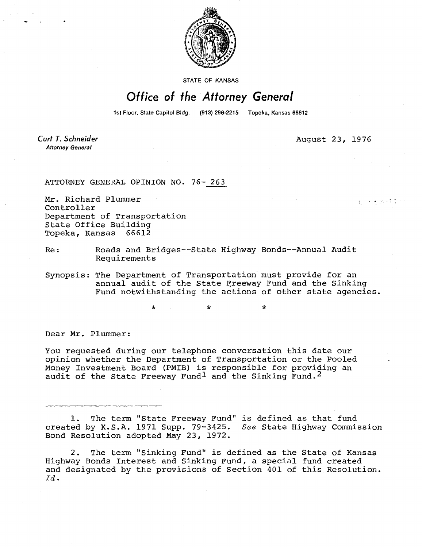

STATE OF KANSAS

## Office of the Attorney General

1st Floor, State Capitol Bidg. (913) 296-2215 Topeka, Kansas 66612

Curt T. Schneider **Attorney General** 

August 23, 1976

くうえきかいきない

ATTORNEY GENERAL OPINION NO. 76- 263

÷

Mr. Richard Plummer Controller Department of Transportation State Office Building Topeka, Kansas 66612

Re: Roads and Bridges--State Highway Bonds--Annual Audit Requirements

Synopsis: The Department of Transportation must provide for an annual audit of the State Freeway Fund and the Sinking Fund notwithstanding the actions of other state agencies.

Dear Mr. Plummer:

You requested during our telephone conversation this date our opinion whether the Department of Transportation or the Pooled Money Investment Board (PMIB) is responsible for providing an audit of the State Freeway Fundl and the Sinking Fund.<sup>2</sup>

1. The term "State Freeway Fund" is defined as that fund created by K.S.A. 1971 Supp. 79-3425. See State Highway Commission Bond Resolution adopted May 23, 1972.

2. The term "Sinking Fund" is defined as the State of Kansas Highway Bonds Interest and Sinking Fund, a special fund created and designated by the provisions of Section 401 of this Resolution. Id.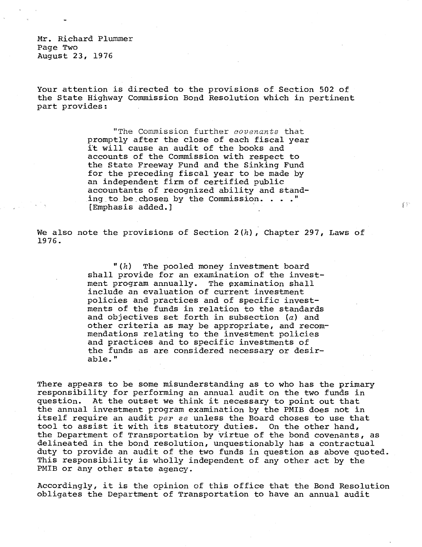Mr. Richard Plummer Page Two August 23, 1976

Your attention is directed to the provisions of Section 502 of the State Highway Commission Bond Resolution which in pertinent part provides:

> "The Commission further covenants that promptly after the close of each fiscal year it will cause an audit of the books and accounts of the Commission with respect to the State Freeway Fund and the Sinking Fund for the preceding fiscal year to be made by an independent firm of certified public accountants of recognized ability and standing to be chosen by the Commission. . . ." [Emphasis added.]

We also note the provisions of Section  $2(h)$ , Chapter 297, Laws of 1976.

经验

 $"(h)$  The pooled money investment board shall provide for an examination of the investment program annually. The examination shall include an evaluation of current investment policies and practices and of specific investments of the funds in relation to the standards and objectives set forth in subsection (a) and other criteria as may be appropriate, and recommendations relating to the investment policies and practices and to specific investments of the funds as are considered necessary or desirable."

There appears to be some misunderstanding as to who has the primary responsibility for performing an annual audit on the two funds in question. At the outset we think it necessary to point out that the annual investment program examination by the PMIB does not in itself require an audit per se unless the Board choses to use that tool to assist it with its statutory duties. On the other hand, the Department of Transportation by virtue of the bond covenants, as delineated in the bond resolution, unquestionably has a contractual duty to provide an audit of the two funds in question as above quoted. This responsibility is wholly independent of any other act by the PMIB or any other state agency.

Accordingly, it is the opinion of this office that the Bond Resolution obligates the Department of Transportation to have an annual audit